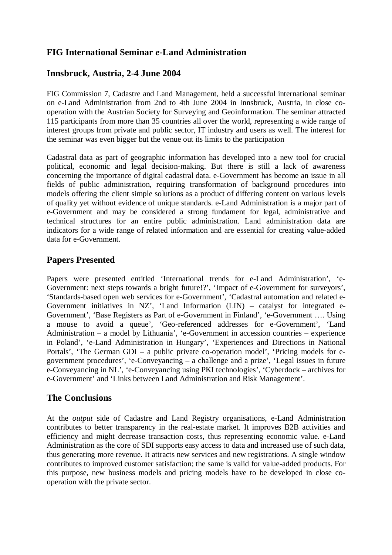## **FIG International Seminar** *e***-Land Administration**

## **Innsbruck, Austria, 2-4 June 2004**

FIG Commission 7, Cadastre and Land Management, held a successful international seminar on e-Land Administration from 2nd to 4th June 2004 in Innsbruck, Austria, in close cooperation with the Austrian Society for Surveying and Geoinformation. The seminar attracted 115 participants from more than 35 countries all over the world, representing a wide range of interest groups from private and public sector, IT industry and users as well. The interest for the seminar was even bigger but the venue out its limits to the participation

Cadastral data as part of geographic information has developed into a new tool for crucial political, economic and legal decision-making. But there is still a lack of awareness concerning the importance of digital cadastral data. e-Government has become an issue in all fields of public administration, requiring transformation of background procedures into models offering the client simple solutions as a product of differing content on various levels of quality yet without evidence of unique standards. e-Land Administration is a major part of e-Government and may be considered a strong fundament for legal, administrative and technical structures for an entire public administration. Land administration data are indicators for a wide range of related information and are essential for creating value-added data for e-Government.

## **Papers Presented**

Papers were presented entitled 'International trends for e-Land Administration', 'e-Government: next steps towards a bright future!?', 'Impact of e-Government for surveyors', 'Standards-based open web services for e-Government', 'Cadastral automation and related e-Government initiatives in NZ', 'Land Information (LIN) – catalyst for integrated e-Government', 'Base Registers as Part of e-Government in Finland', 'e-Government …. Using a mouse to avoid a queue', 'Geo-referenced addresses for e-Government', 'Land Administration – a model by Lithuania', 'e-Government in accession countries – experience in Poland', 'e-Land Administration in Hungary', 'Experiences and Directions in National Portals', 'The German GDI – a public private co-operation model', 'Pricing models for egovernment procedures', 'e-Conveyancing – a challenge and a prize', 'Legal issues in future e-Conveyancing in NL', 'e-Conveyancing using PKI technologies', 'Cyberdock – archives for e-Government' and 'Links between Land Administration and Risk Management'.

## **The Conclusions**

At the *output* side of Cadastre and Land Registry organisations, e-Land Administration contributes to better transparency in the real-estate market. It improves B2B activities and efficiency and might decrease transaction costs, thus representing economic value. e-Land Administration as the core of SDI supports easy access to data and increased use of such data, thus generating more revenue. It attracts new services and new registrations. A single window contributes to improved customer satisfaction; the same is valid for value-added products. For this purpose, new business models and pricing models have to be developed in close cooperation with the private sector.